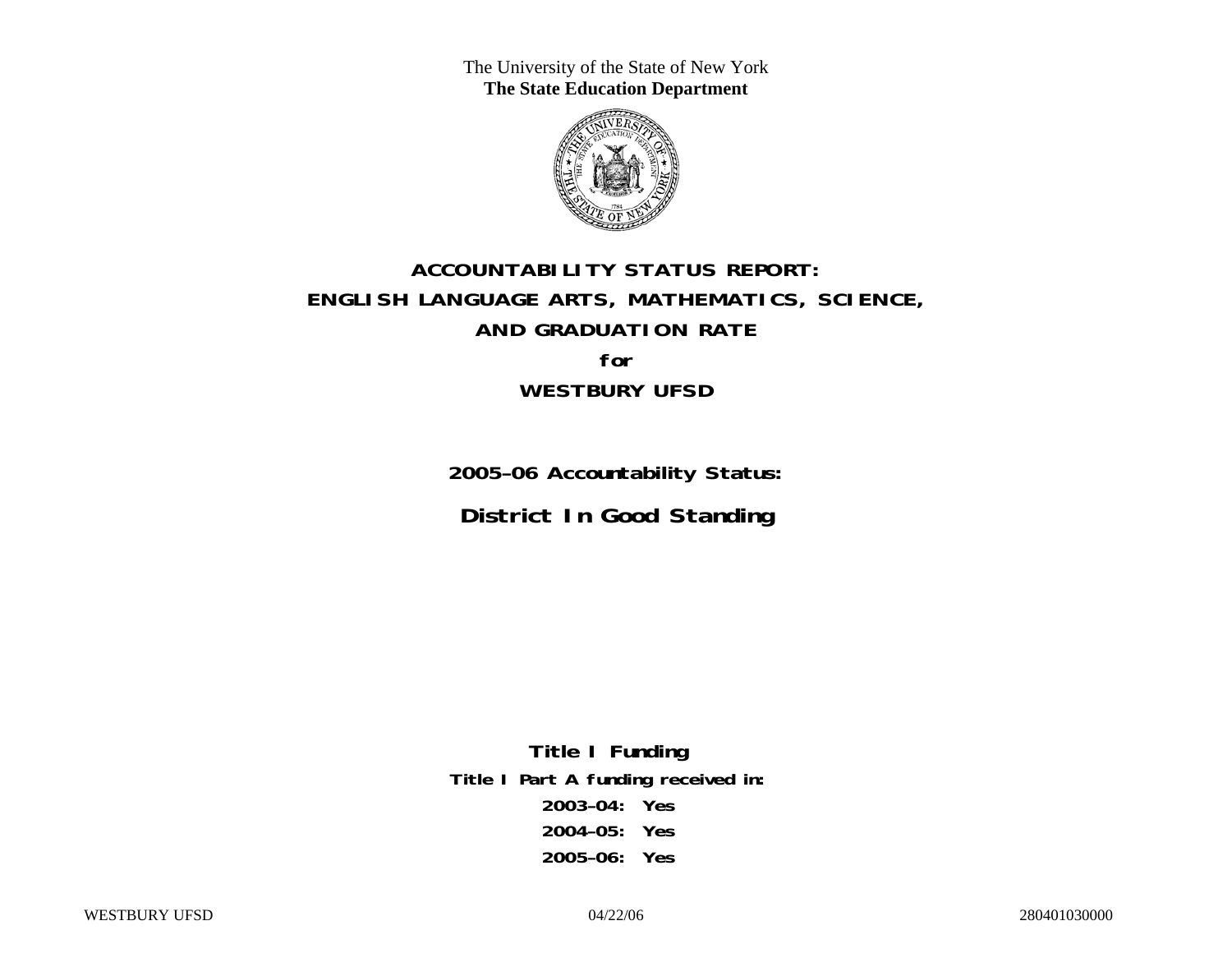The University of the State of New York **The State Education Department** 



# **ACCOUNTABILITY STATUS REPORT: ENGLISH LANGUAGE ARTS, MATHEMATICS, SCIENCE, AND GRADUATION RATE for WESTBURY UFSD**

**2005–06 Accountability Status: District In Good Standing** 

**Title I Funding Title I Part A funding received in: 2003–04: Yes 2004–05: Yes 2005–06: Yes**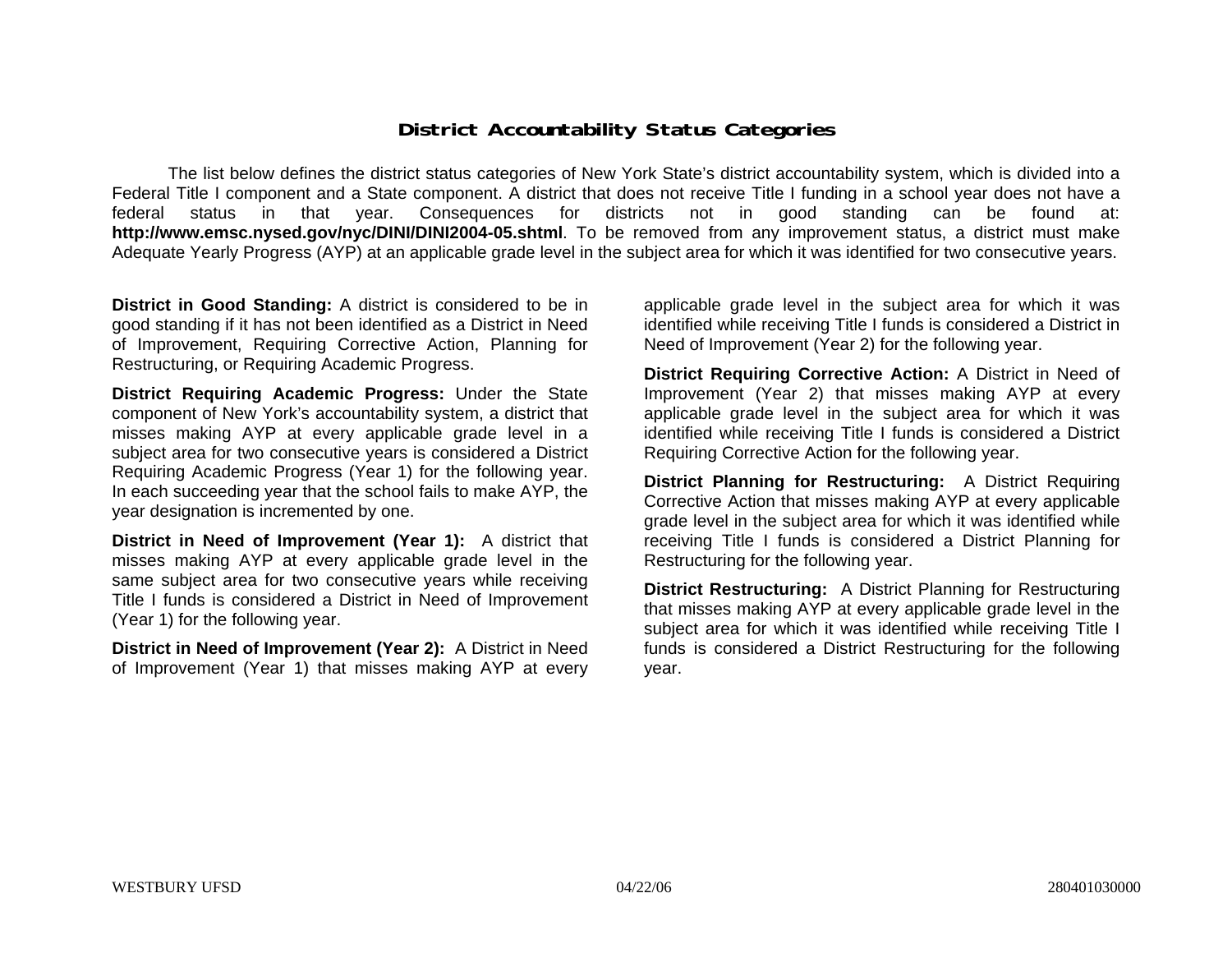### **District Accountability Status Categories**

The list below defines the district status categories of New York State's district accountability system, which is divided into a Federal Title I component and a State component. A district that does not receive Title I funding in a school year does not have a federal status in that year. Consequences for districts not in good standing can be found at: **http://www.emsc.nysed.gov/nyc/DINI/DINI2004-05.shtml**. To be removed from any improvement status, a district must make Adequate Yearly Progress (AYP) at an applicable grade level in the subject area for which it was identified for two consecutive years.

**District in Good Standing:** A district is considered to be in good standing if it has not been identified as a District in Need of Improvement, Requiring Corrective Action, Planning for Restructuring, or Requiring Academic Progress.

**District Requiring Academic Progress:** Under the State component of New York's accountability system, a district that misses making AYP at every applicable grade level in a subject area for two consecutive years is considered a District Requiring Academic Progress (Year 1) for the following year. In each succeeding year that the school fails to make AYP, the year designation is incremented by one.

**District in Need of Improvement (Year 1):** A district that misses making AYP at every applicable grade level in the same subject area for two consecutive years while receiving Title I funds is considered a District in Need of Improvement (Year 1) for the following year.

**District in Need of Improvement (Year 2):** A District in Need of Improvement (Year 1) that misses making AYP at every

applicable grade level in the subject area for which it was identified while receiving Title I funds is considered a District in Need of Improvement (Year 2) for the following year.

**District Requiring Corrective Action:** A District in Need of Improvement (Year 2) that misses making AYP at every applicable grade level in the subject area for which it was identified while receiving Title I funds is considered a District Requiring Corrective Action for the following year.

**District Planning for Restructuring:** A District Requiring Corrective Action that misses making AYP at every applicable grade level in the subject area for which it was identified while receiving Title I funds is considered a District Planning for Restructuring for the following year.

**District Restructuring:** A District Planning for Restructuring that misses making AYP at every applicable grade level in the subject area for which it was identified while receiving Title I funds is considered a District Restructuring for the following year.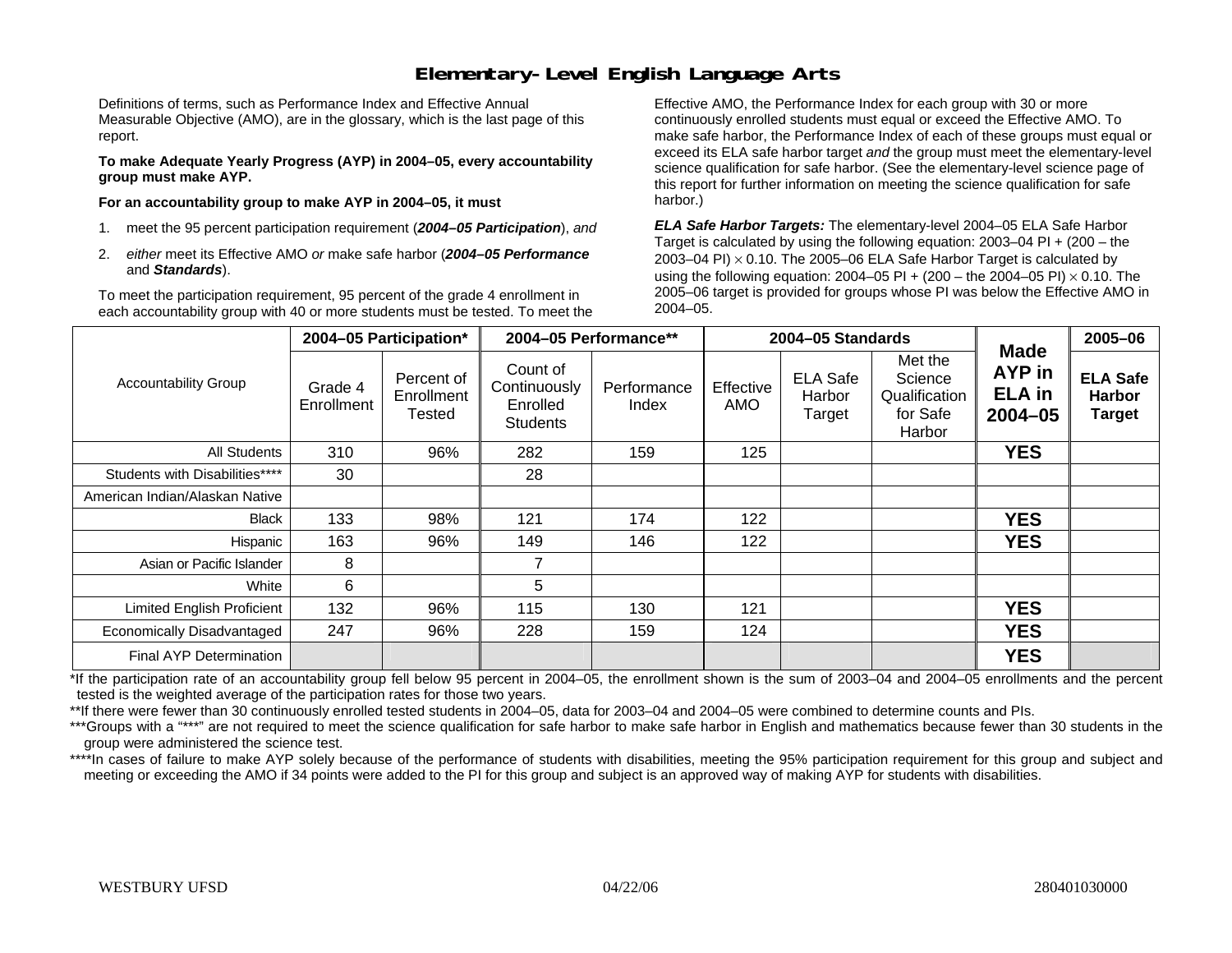### **Elementary-Level English Language Arts**

Definitions of terms, such as Performance Index and Effective Annual Measurable Objective (AMO), are in the glossary, which is the last page of this report.

**To make Adequate Yearly Progress (AYP) in 2004–05, every accountability group must make AYP.** 

**For an accountability group to make AYP in 2004–05, it must** 

- 1. meet the 95 percent participation requirement (*2004–05 Participation*), *and*
- 2. *either* meet its Effective AMO *or* make safe harbor (*2004–05 Performance*  and *Standards*).

To meet the participation requirement, 95 percent of the grade 4 enrollment in each accountability group with 40 or more students must be tested. To meet the

Effective AMO, the Performance Index for each group with 30 or more continuously enrolled students must equal or exceed the Effective AMO. To make safe harbor, the Performance Index of each of these groups must equal or exceed its ELA safe harbor target *and* the group must meet the elementary-level science qualification for safe harbor. (See the elementary-level science page of this report for further information on meeting the science qualification for safe harbor.)

*ELA Safe Harbor Targets:* The elementary-level 2004–05 ELA Safe Harbor Target is calculated by using the following equation: 2003–04 PI + (200 – the 2003–04 PI)  $\times$  0.10. The 2005–06 ELA Safe Harbor Target is calculated by using the following equation: 2004–05 PI + (200 – the 2004–05 PI) × 0.10. The 2005–06 target is provided for groups whose PI was below the Effective AMO in 2004–05.

|                                   |                       | 2004-05 Participation*                    | 2004-05 Performance**                                   |                      |                  | 2004-05 Standards                   |                                                           |                                                       | 2005-06                                           |
|-----------------------------------|-----------------------|-------------------------------------------|---------------------------------------------------------|----------------------|------------------|-------------------------------------|-----------------------------------------------------------|-------------------------------------------------------|---------------------------------------------------|
| <b>Accountability Group</b>       | Grade 4<br>Enrollment | Percent of<br>Enrollment<br><b>Tested</b> | Count of<br>Continuously<br>Enrolled<br><b>Students</b> | Performance<br>Index | Effective<br>AMO | <b>ELA Safe</b><br>Harbor<br>Target | Met the<br>Science<br>Qualification<br>for Safe<br>Harbor | <b>Made</b><br>AYP in<br><b>ELA</b> in<br>$2004 - 05$ | <b>ELA Safe</b><br><b>Harbor</b><br><b>Target</b> |
| All Students                      | 310                   | 96%                                       | 282                                                     | 159                  | 125              |                                     |                                                           | <b>YES</b>                                            |                                                   |
| Students with Disabilities****    | 30                    |                                           | 28                                                      |                      |                  |                                     |                                                           |                                                       |                                                   |
| American Indian/Alaskan Native    |                       |                                           |                                                         |                      |                  |                                     |                                                           |                                                       |                                                   |
| <b>Black</b>                      | 133                   | 98%                                       | 121                                                     | 174                  | 122              |                                     |                                                           | <b>YES</b>                                            |                                                   |
| Hispanic                          | 163                   | 96%                                       | 149                                                     | 146                  | 122              |                                     |                                                           | <b>YES</b>                                            |                                                   |
| Asian or Pacific Islander         | 8                     |                                           |                                                         |                      |                  |                                     |                                                           |                                                       |                                                   |
| White                             | 6                     |                                           | 5                                                       |                      |                  |                                     |                                                           |                                                       |                                                   |
| <b>Limited English Proficient</b> | 132                   | 96%                                       | 115                                                     | 130                  | 121              |                                     |                                                           | <b>YES</b>                                            |                                                   |
| Economically Disadvantaged        | 247                   | 96%                                       | 228                                                     | 159                  | 124              |                                     |                                                           | <b>YES</b>                                            |                                                   |
| Final AYP Determination           |                       |                                           |                                                         |                      |                  |                                     |                                                           | <b>YES</b>                                            |                                                   |

\*If the participation rate of an accountability group fell below 95 percent in 2004–05, the enrollment shown is the sum of 2003–04 and 2004–05 enrollments and the percent tested is the weighted average of the participation rates for those two years.

\*\*If there were fewer than 30 continuously enrolled tested students in 2004–05, data for 2003–04 and 2004–05 were combined to determine counts and PIs.

\*\*\*Groups with a "\*\*\*" are not required to meet the science qualification for safe harbor to make safe harbor in English and mathematics because fewer than 30 students in the group were administered the science test.

\*\*\*\*In cases of failure to make AYP solely because of the performance of students with disabilities, meeting the 95% participation requirement for this group and subject and meeting or exceeding the AMO if 34 points were added to the PI for this group and subject is an approved way of making AYP for students with disabilities.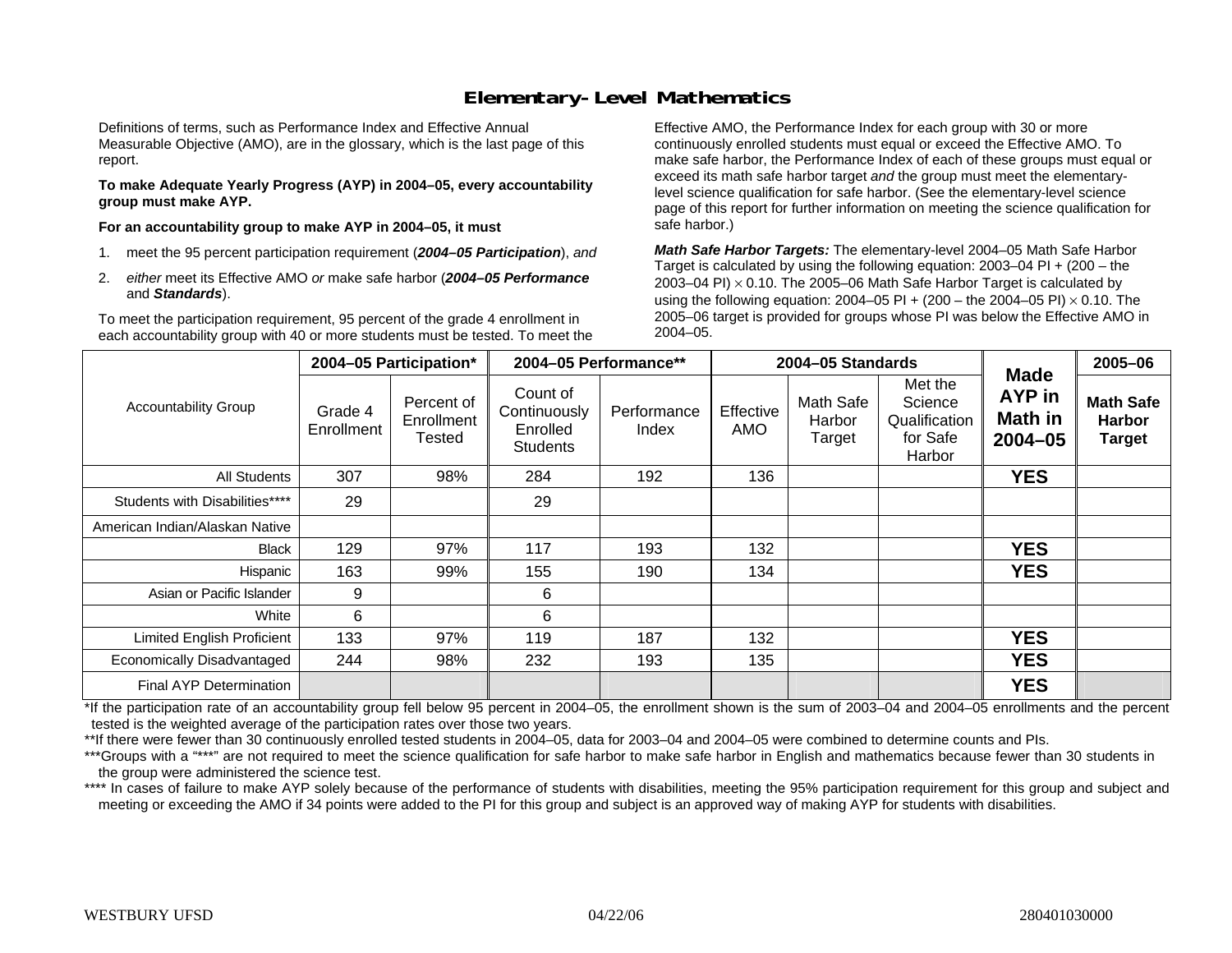### **Elementary-Level Mathematics**

Definitions of terms, such as Performance Index and Effective Annual Measurable Objective (AMO), are in the glossary, which is the last page of this report.

**To make Adequate Yearly Progress (AYP) in 2004–05, every accountability group must make AYP.** 

**For an accountability group to make AYP in 2004–05, it must** 

- 1. meet the 95 percent participation requirement (*2004–05 Participation*), *and*
- 2. *either* meet its Effective AMO *or* make safe harbor (*2004–05 Performance*  and *Standards*).

To meet the participation requirement, 95 percent of the grade 4 enrollment in each accountability group with 40 or more students must be tested. To meet the

Effective AMO, the Performance Index for each group with 30 or more continuously enrolled students must equal or exceed the Effective AMO. To make safe harbor, the Performance Index of each of these groups must equal or exceed its math safe harbor target *and* the group must meet the elementarylevel science qualification for safe harbor. (See the elementary-level science page of this report for further information on meeting the science qualification for safe harbor.)

*Math Safe Harbor Targets:* The elementary-level 2004–05 Math Safe Harbor Target is calculated by using the following equation: 2003–04 PI + (200 – the 2003–04 PI) <sup>×</sup> 0.10. The 2005–06 Math Safe Harbor Target is calculated by using the following equation: 2004–05 PI + (200 – the 2004–05 PI) × 0.10. The 2005–06 target is provided for groups whose PI was below the Effective AMO in 2004–05.

|                                   |                       | 2004-05 Participation*             |                                                         | 2004-05 Performance** |                  | 2004-05 Standards                    |                                                           | <b>Made</b>                             | 2005-06                                            |
|-----------------------------------|-----------------------|------------------------------------|---------------------------------------------------------|-----------------------|------------------|--------------------------------------|-----------------------------------------------------------|-----------------------------------------|----------------------------------------------------|
| <b>Accountability Group</b>       | Grade 4<br>Enrollment | Percent of<br>Enrollment<br>Tested | Count of<br>Continuously<br>Enrolled<br><b>Students</b> | Performance<br>Index  | Effective<br>AMO | <b>Math Safe</b><br>Harbor<br>Target | Met the<br>Science<br>Qualification<br>for Safe<br>Harbor | AYP in<br><b>Math in</b><br>$2004 - 05$ | <b>Math Safe</b><br><b>Harbor</b><br><b>Target</b> |
| All Students                      | 307                   | 98%                                | 284                                                     | 192                   | 136              |                                      |                                                           | <b>YES</b>                              |                                                    |
| Students with Disabilities****    | 29                    |                                    | 29                                                      |                       |                  |                                      |                                                           |                                         |                                                    |
| American Indian/Alaskan Native    |                       |                                    |                                                         |                       |                  |                                      |                                                           |                                         |                                                    |
| <b>Black</b>                      | 129                   | 97%                                | 117                                                     | 193                   | 132              |                                      |                                                           | <b>YES</b>                              |                                                    |
| Hispanic                          | 163                   | 99%                                | 155                                                     | 190                   | 134              |                                      |                                                           | <b>YES</b>                              |                                                    |
| Asian or Pacific Islander         | 9                     |                                    | 6                                                       |                       |                  |                                      |                                                           |                                         |                                                    |
| White                             | 6                     |                                    | 6                                                       |                       |                  |                                      |                                                           |                                         |                                                    |
| <b>Limited English Proficient</b> | 133                   | 97%                                | 119                                                     | 187                   | 132              |                                      |                                                           | <b>YES</b>                              |                                                    |
| Economically Disadvantaged        | 244                   | 98%                                | 232                                                     | 193                   | 135              |                                      |                                                           | <b>YES</b>                              |                                                    |
| <b>Final AYP Determination</b>    |                       |                                    |                                                         |                       |                  |                                      |                                                           | <b>YES</b>                              |                                                    |

\*If the participation rate of an accountability group fell below 95 percent in 2004–05, the enrollment shown is the sum of 2003–04 and 2004–05 enrollments and the percent tested is the weighted average of the participation rates over those two years.

\*\*If there were fewer than 30 continuously enrolled tested students in 2004–05, data for 2003–04 and 2004–05 were combined to determine counts and PIs.

\*\*\*Groups with a "\*\*\*" are not required to meet the science qualification for safe harbor to make safe harbor in English and mathematics because fewer than 30 students in the group were administered the science test.

\*\*\*\* In cases of failure to make AYP solely because of the performance of students with disabilities, meeting the 95% participation requirement for this group and subject and meeting or exceeding the AMO if 34 points were added to the PI for this group and subject is an approved way of making AYP for students with disabilities.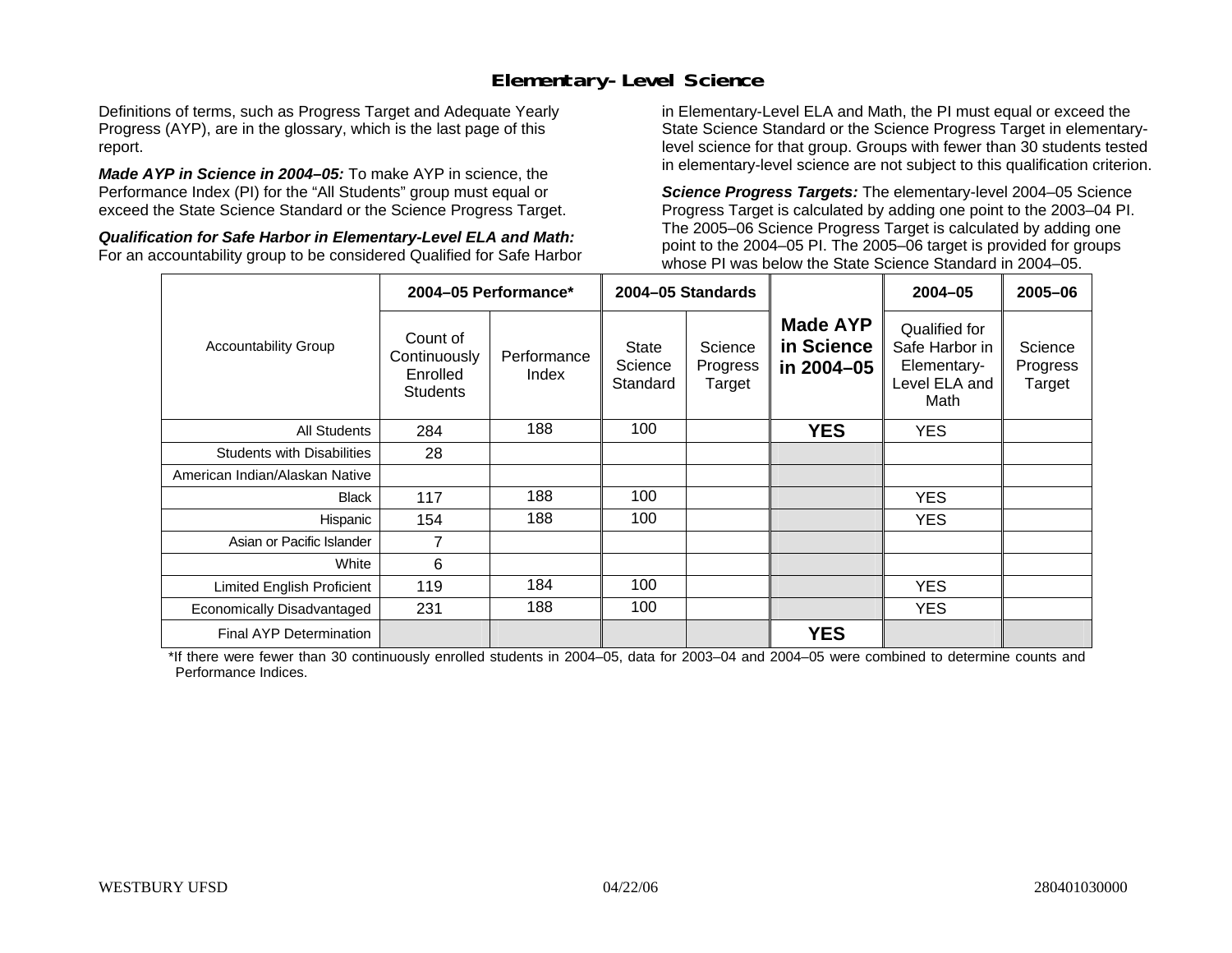### **Elementary-Level Science**

Definitions of terms, such as Progress Target and Adequate Yearly Progress (AYP), are in the glossary, which is the last page of this report.

*Made AYP in Science in 2004–05:* To make AYP in science, the Performance Index (PI) for the "All Students" group must equal or exceed the State Science Standard or the Science Progress Target.

*Qualification for Safe Harbor in Elementary-Level ELA and Math:* For an accountability group to be considered Qualified for Safe Harbor in Elementary-Level ELA and Math, the PI must equal or exceed the State Science Standard or the Science Progress Target in elementarylevel science for that group. Groups with fewer than 30 students tested in elementary-level science are not subject to this qualification criterion.

*Science Progress Targets:* The elementary-level 2004–05 Science Progress Target is calculated by adding one point to the 2003–04 PI. The 2005–06 Science Progress Target is calculated by adding one point to the 2004–05 PI. The 2005–06 target is provided for groups whose PI was below the State Science Standard in 2004–05.

|                                   |                                                         | 2004-05 Performance* |                                     | 2004-05 Standards             |                                             | $2004 - 05$                                                             | $2005 - 06$                   |
|-----------------------------------|---------------------------------------------------------|----------------------|-------------------------------------|-------------------------------|---------------------------------------------|-------------------------------------------------------------------------|-------------------------------|
| <b>Accountability Group</b>       | Count of<br>Continuously<br>Enrolled<br><b>Students</b> | Performance<br>Index | <b>State</b><br>Science<br>Standard | Science<br>Progress<br>Target | <b>Made AYP</b><br>in Science<br>in 2004-05 | Qualified for<br>Safe Harbor in<br>Elementary-<br>Level ELA and<br>Math | Science<br>Progress<br>Target |
| All Students                      | 284                                                     | 188                  | 100                                 |                               | <b>YES</b>                                  | <b>YES</b>                                                              |                               |
| <b>Students with Disabilities</b> | 28                                                      |                      |                                     |                               |                                             |                                                                         |                               |
| American Indian/Alaskan Native    |                                                         |                      |                                     |                               |                                             |                                                                         |                               |
| <b>Black</b>                      | 117                                                     | 188                  | 100                                 |                               |                                             | <b>YES</b>                                                              |                               |
| Hispanic                          | 154                                                     | 188                  | 100                                 |                               |                                             | <b>YES</b>                                                              |                               |
| Asian or Pacific Islander         | 7                                                       |                      |                                     |                               |                                             |                                                                         |                               |
| White                             | 6                                                       |                      |                                     |                               |                                             |                                                                         |                               |
| Limited English Proficient        | 119                                                     | 184                  | 100                                 |                               |                                             | YES.                                                                    |                               |
| Economically Disadvantaged        | 231                                                     | 188                  | 100                                 |                               |                                             | <b>YES</b>                                                              |                               |
| <b>Final AYP Determination</b>    |                                                         |                      |                                     |                               | <b>YES</b>                                  |                                                                         |                               |

\*If there were fewer than 30 continuously enrolled students in 2004–05, data for 2003–04 and 2004–05 were combined to determine counts and Performance Indices.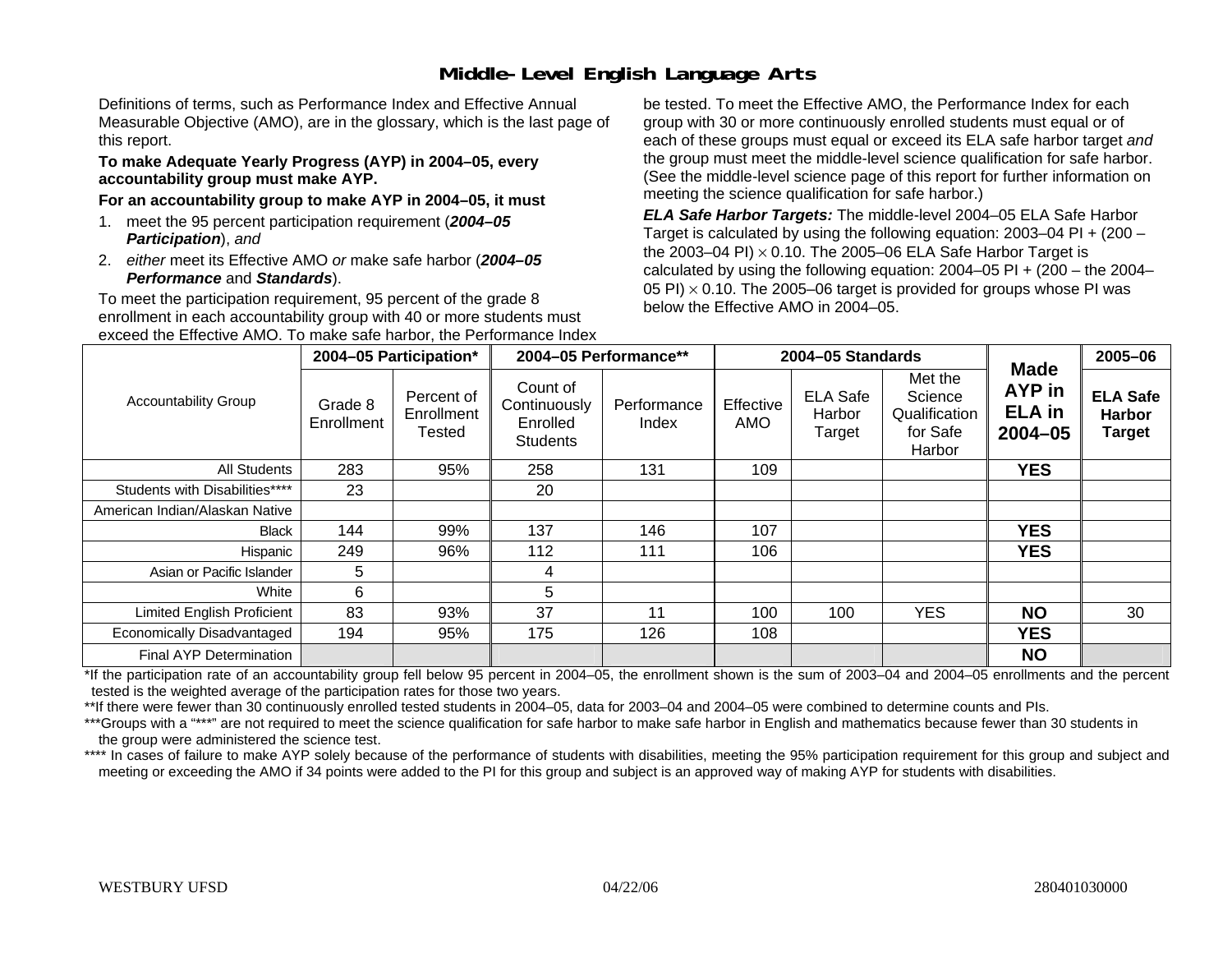## **Middle-Level English Language Arts**

Definitions of terms, such as Performance Index and Effective Annual Measurable Objective (AMO), are in the glossary, which is the last page of this report.

#### **To make Adequate Yearly Progress (AYP) in 2004–05, every accountability group must make AYP.**

#### **For an accountability group to make AYP in 2004–05, it must**

- 1. meet the 95 percent participation requirement (*2004–05 Participation*), *and*
- 2. *either* meet its Effective AMO *or* make safe harbor (*2004–05 Performance* and *Standards*).

To meet the participation requirement, 95 percent of the grade 8 enrollment in each accountability group with 40 or more students must exceed the Effective AMO. To make safe harbor, the Performance Index be tested. To meet the Effective AMO, the Performance Index for each group with 30 or more continuously enrolled students must equal or of each of these groups must equal or exceed its ELA safe harbor target *and* the group must meet the middle-level science qualification for safe harbor. (See the middle-level science page of this report for further information on meeting the science qualification for safe harbor.)

*ELA Safe Harbor Targets:* The middle-level 2004–05 ELA Safe Harbor Target is calculated by using the following equation: 2003–04 PI + (200 – the 2003–04 PI) <sup>×</sup> 0.10. The 2005–06 ELA Safe Harbor Target is calculated by using the following equation:  $2004-05$  PI +  $(200 -$  the  $2004-$ 05 PI)  $\times$  0.10. The 2005–06 target is provided for groups whose PI was below the Effective AMO in 2004–05.

|                                |                       | 2004-05 Participation*             |                                                         | 2004-05 Performance** |                         | 2004-05 Standards                   |                                                           | <b>Made</b>                                   | 2005-06                                           |
|--------------------------------|-----------------------|------------------------------------|---------------------------------------------------------|-----------------------|-------------------------|-------------------------------------|-----------------------------------------------------------|-----------------------------------------------|---------------------------------------------------|
| <b>Accountability Group</b>    | Grade 8<br>Enrollment | Percent of<br>Enrollment<br>Tested | Count of<br>Continuously<br>Enrolled<br><b>Students</b> | Performance<br>Index  | Effective<br><b>AMO</b> | <b>ELA Safe</b><br>Harbor<br>Target | Met the<br>Science<br>Qualification<br>for Safe<br>Harbor | <b>AYP</b> in<br><b>ELA</b> in<br>$2004 - 05$ | <b>ELA Safe</b><br><b>Harbor</b><br><b>Target</b> |
| <b>All Students</b>            | 283                   | 95%                                | 258                                                     | 131                   | 109                     |                                     |                                                           | <b>YES</b>                                    |                                                   |
| Students with Disabilities**** | 23                    |                                    | 20                                                      |                       |                         |                                     |                                                           |                                               |                                                   |
| American Indian/Alaskan Native |                       |                                    |                                                         |                       |                         |                                     |                                                           |                                               |                                                   |
| <b>Black</b>                   | 144                   | 99%                                | 137                                                     | 146                   | 107                     |                                     |                                                           | <b>YES</b>                                    |                                                   |
| Hispanic                       | 249                   | 96%                                | 112                                                     | 111                   | 106                     |                                     |                                                           | <b>YES</b>                                    |                                                   |
| Asian or Pacific Islander      | 5                     |                                    | 4                                                       |                       |                         |                                     |                                                           |                                               |                                                   |
| White                          | 6                     |                                    | 5                                                       |                       |                         |                                     |                                                           |                                               |                                                   |
| Limited English Proficient     | 83                    | 93%                                | 37                                                      | 11                    | 100                     | 100                                 | <b>YES</b>                                                | <b>NO</b>                                     | 30                                                |
| Economically Disadvantaged     | 194                   | 95%                                | 175                                                     | 126                   | 108                     |                                     |                                                           | <b>YES</b>                                    |                                                   |
| Final AYP Determination        |                       |                                    |                                                         |                       |                         |                                     |                                                           | <b>NO</b>                                     |                                                   |

\*If the participation rate of an accountability group fell below 95 percent in 2004–05, the enrollment shown is the sum of 2003–04 and 2004–05 enrollments and the percent tested is the weighted average of the participation rates for those two years.

\*\*If there were fewer than 30 continuously enrolled tested students in 2004–05, data for 2003–04 and 2004–05 were combined to determine counts and PIs.

\*\*\*Groups with a "\*\*\*" are not required to meet the science qualification for safe harbor to make safe harbor in English and mathematics because fewer than 30 students in the group were administered the science test.

\*\*\*\* In cases of failure to make AYP solely because of the performance of students with disabilities, meeting the 95% participation requirement for this group and subject and meeting or exceeding the AMO if 34 points were added to the PI for this group and subject is an approved way of making AYP for students with disabilities.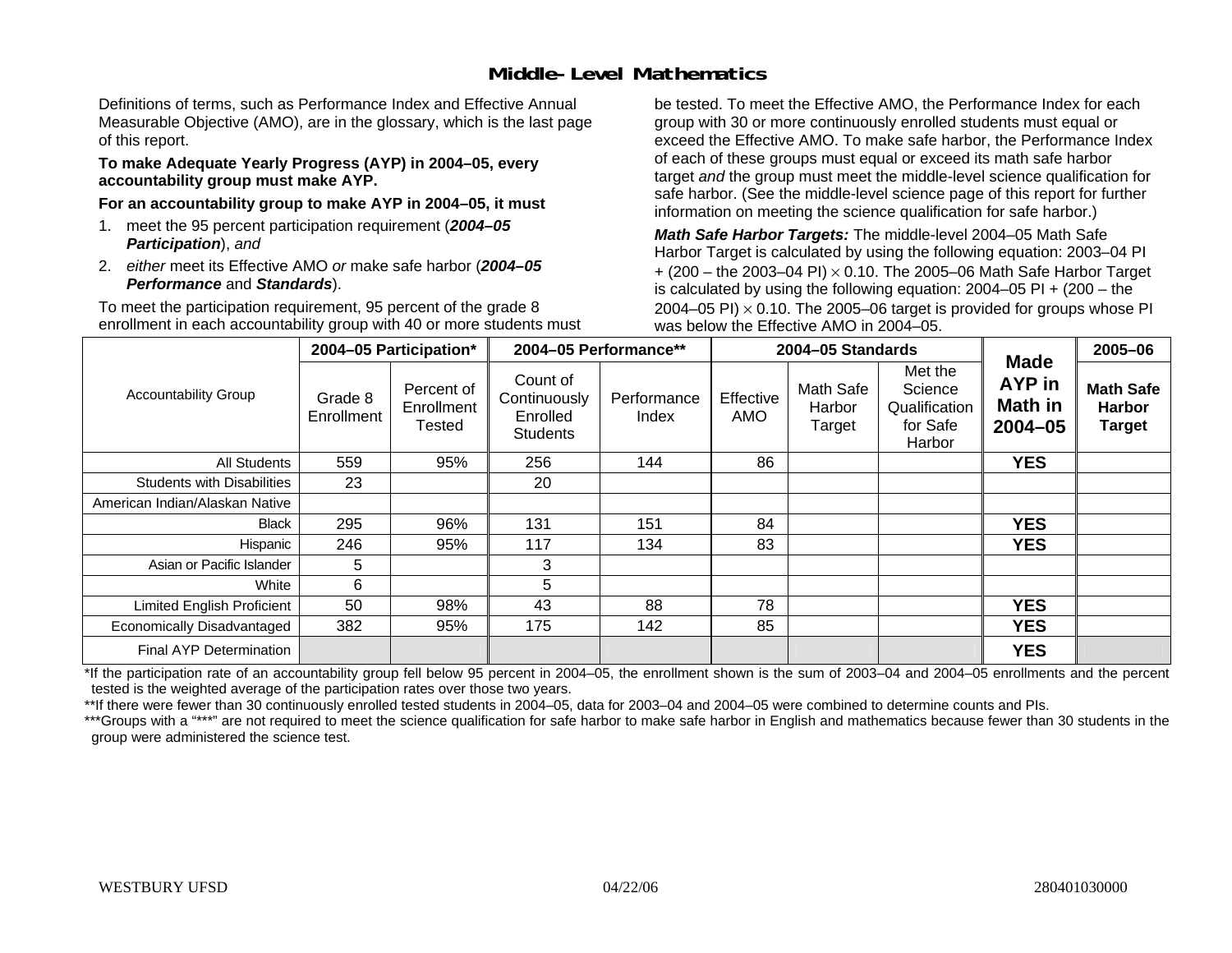### **Middle-Level Mathematics**

Definitions of terms, such as Performance Index and Effective Annual Measurable Objective (AMO), are in the glossary, which is the last page of this report.

#### **To make Adequate Yearly Progress (AYP) in 2004–05, every accountability group must make AYP.**

**For an accountability group to make AYP in 2004–05, it must** 

- 1. meet the 95 percent participation requirement (*2004–05 Participation*), *and*
- 2. *either* meet its Effective AMO *or* make safe harbor (*2004–05 Performance* and *Standards*).

To meet the participation requirement, 95 percent of the grade 8 enrollment in each accountability group with 40 or more students must be tested. To meet the Effective AMO, the Performance Index for each group with 30 or more continuously enrolled students must equal or exceed the Effective AMO. To make safe harbor, the Performance Index of each of these groups must equal or exceed its math safe harbor target *and* the group must meet the middle-level science qualification for safe harbor. (See the middle-level science page of this report for further information on meeting the science qualification for safe harbor.)

*Math Safe Harbor Targets:* The middle-level 2004–05 Math Safe Harbor Target is calculated by using the following equation: 2003–04 PI + (200 – the 2003–04 PI) <sup>×</sup> 0.10. The 2005–06 Math Safe Harbor Target is calculated by using the following equation: 2004–05 PI + (200 – the 2004–05 PI)  $\times$  0.10. The 2005–06 target is provided for groups whose PI was below the Effective AMO in 2004–05.

|                                   |                       | 2004-05 Participation*                    |                                                         | 2004-05 Performance** |                         | 2004-05 Standards             |                                                           | <b>Made</b>                                    | 2005-06                                            |
|-----------------------------------|-----------------------|-------------------------------------------|---------------------------------------------------------|-----------------------|-------------------------|-------------------------------|-----------------------------------------------------------|------------------------------------------------|----------------------------------------------------|
| <b>Accountability Group</b>       | Grade 8<br>Enrollment | Percent of<br>Enrollment<br><b>Tested</b> | Count of<br>Continuously<br>Enrolled<br><b>Students</b> | Performance<br>Index  | Effective<br><b>AMO</b> | Math Safe<br>Harbor<br>Target | Met the<br>Science<br>Qualification<br>for Safe<br>Harbor | <b>AYP</b> in<br><b>Math in</b><br>$2004 - 05$ | <b>Math Safe</b><br><b>Harbor</b><br><b>Target</b> |
| All Students                      | 559                   | 95%                                       | 256                                                     | 144                   | 86                      |                               |                                                           | <b>YES</b>                                     |                                                    |
| <b>Students with Disabilities</b> | 23                    |                                           | 20                                                      |                       |                         |                               |                                                           |                                                |                                                    |
| American Indian/Alaskan Native    |                       |                                           |                                                         |                       |                         |                               |                                                           |                                                |                                                    |
| <b>Black</b>                      | 295                   | 96%                                       | 131                                                     | 151                   | 84                      |                               |                                                           | <b>YES</b>                                     |                                                    |
| Hispanic                          | 246                   | 95%                                       | 117                                                     | 134                   | 83                      |                               |                                                           | <b>YES</b>                                     |                                                    |
| Asian or Pacific Islander         | 5                     |                                           | 3                                                       |                       |                         |                               |                                                           |                                                |                                                    |
| White                             | 6                     |                                           | 5                                                       |                       |                         |                               |                                                           |                                                |                                                    |
| Limited English Proficient        | 50                    | 98%                                       | 43                                                      | 88                    | 78                      |                               |                                                           | <b>YES</b>                                     |                                                    |
| Economically Disadvantaged        | 382                   | 95%                                       | 175                                                     | 142                   | 85                      |                               |                                                           | <b>YES</b>                                     |                                                    |
| <b>Final AYP Determination</b>    |                       |                                           |                                                         |                       |                         |                               |                                                           | <b>YES</b>                                     |                                                    |

\*If the participation rate of an accountability group fell below 95 percent in 2004–05, the enrollment shown is the sum of 2003–04 and 2004–05 enrollments and the percent tested is the weighted average of the participation rates over those two years.

\*\*If there were fewer than 30 continuously enrolled tested students in 2004–05, data for 2003–04 and 2004–05 were combined to determine counts and PIs.

\*\*\*Groups with a "\*\*\*" are not required to meet the science qualification for safe harbor to make safe harbor in English and mathematics because fewer than 30 students in the group were administered the science test.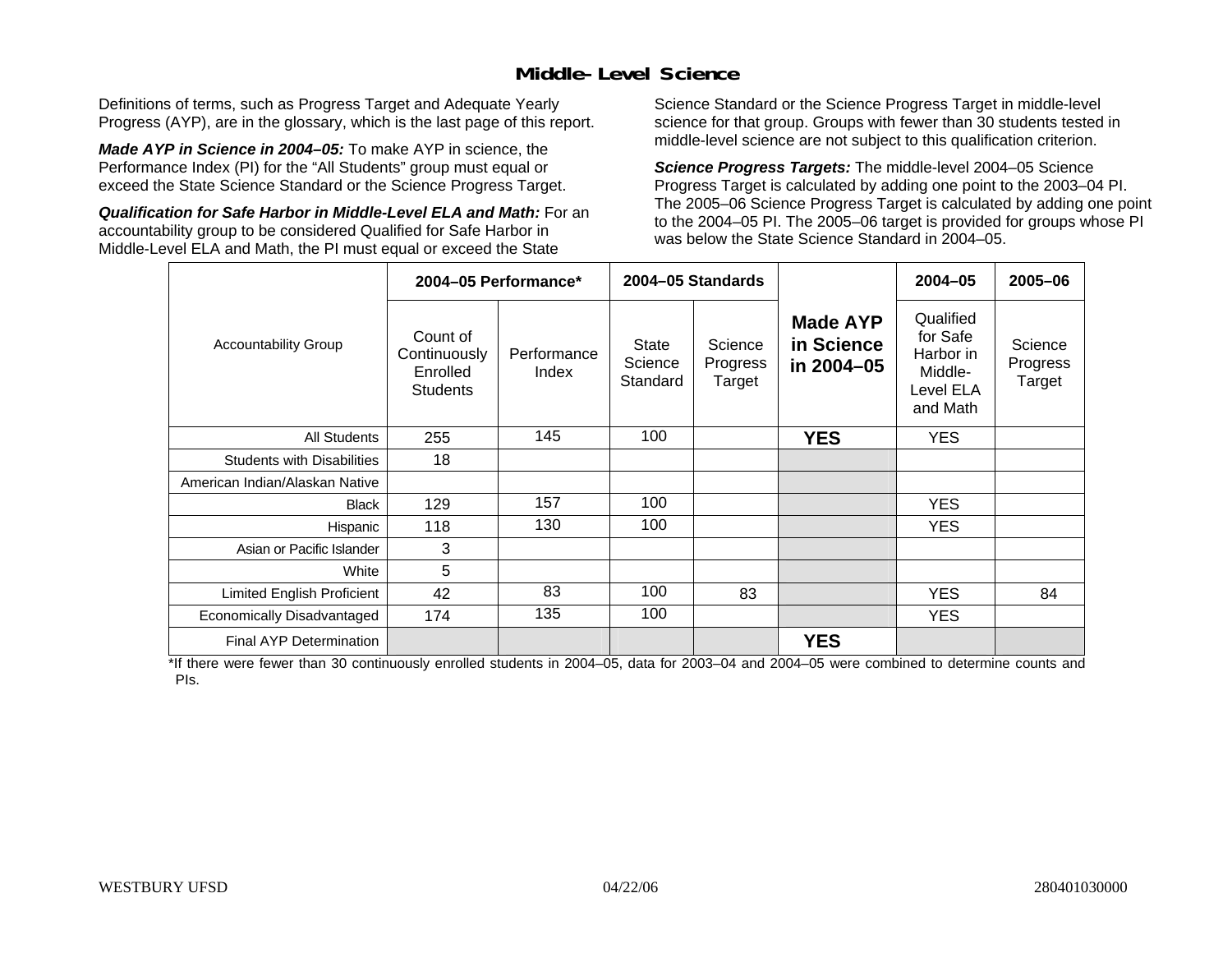### **Middle-Level Science**

Definitions of terms, such as Progress Target and Adequate Yearly Progress (AYP), are in the glossary, which is the last page of this report.

*Made AYP in Science in 2004–05:* To make AYP in science, the Performance Index (PI) for the "All Students" group must equal or exceed the State Science Standard or the Science Progress Target.

*Qualification for Safe Harbor in Middle-Level ELA and Math:* For an accountability group to be considered Qualified for Safe Harbor in Middle-Level ELA and Math, the PI must equal or exceed the State

Science Standard or the Science Progress Target in middle-level science for that group. Groups with fewer than 30 students tested in middle-level science are not subject to this qualification criterion.

*Science Progress Targets:* The middle-level 2004–05 Science Progress Target is calculated by adding one point to the 2003–04 PI. The 2005–06 Science Progress Target is calculated by adding one point to the 2004–05 PI. The 2005–06 target is provided for groups whose PI was below the State Science Standard in 2004–05.

|                                   |                                                         | 2004-05 Performance* |                              | 2004-05 Standards             |                                             | $2004 - 05$                                                            | 2005-06                       |
|-----------------------------------|---------------------------------------------------------|----------------------|------------------------------|-------------------------------|---------------------------------------------|------------------------------------------------------------------------|-------------------------------|
| <b>Accountability Group</b>       | Count of<br>Continuously<br>Enrolled<br><b>Students</b> | Performance<br>Index | State<br>Science<br>Standard | Science<br>Progress<br>Target | <b>Made AYP</b><br>in Science<br>in 2004-05 | Qualified<br>for Safe<br>Harbor in<br>Middle-<br>Level ELA<br>and Math | Science<br>Progress<br>Target |
| <b>All Students</b>               | 255                                                     | 145                  | 100                          |                               | <b>YES</b>                                  | YES.                                                                   |                               |
| <b>Students with Disabilities</b> | 18                                                      |                      |                              |                               |                                             |                                                                        |                               |
| American Indian/Alaskan Native    |                                                         |                      |                              |                               |                                             |                                                                        |                               |
| <b>Black</b>                      | 129                                                     | 157                  | 100                          |                               |                                             | <b>YES</b>                                                             |                               |
| Hispanic                          | 118                                                     | 130                  | 100                          |                               |                                             | <b>YES</b>                                                             |                               |
| Asian or Pacific Islander         | 3                                                       |                      |                              |                               |                                             |                                                                        |                               |
| White                             | 5                                                       |                      |                              |                               |                                             |                                                                        |                               |
| <b>Limited English Proficient</b> | 42                                                      | 83                   | 100                          | 83                            |                                             | <b>YES</b>                                                             | 84                            |
| Economically Disadvantaged        | 174                                                     | 135                  | 100                          |                               |                                             | YES.                                                                   |                               |
| <b>Final AYP Determination</b>    |                                                         |                      |                              |                               | <b>YES</b>                                  |                                                                        |                               |

\*If there were fewer than 30 continuously enrolled students in 2004–05, data for 2003–04 and 2004–05 were combined to determine counts and PIs.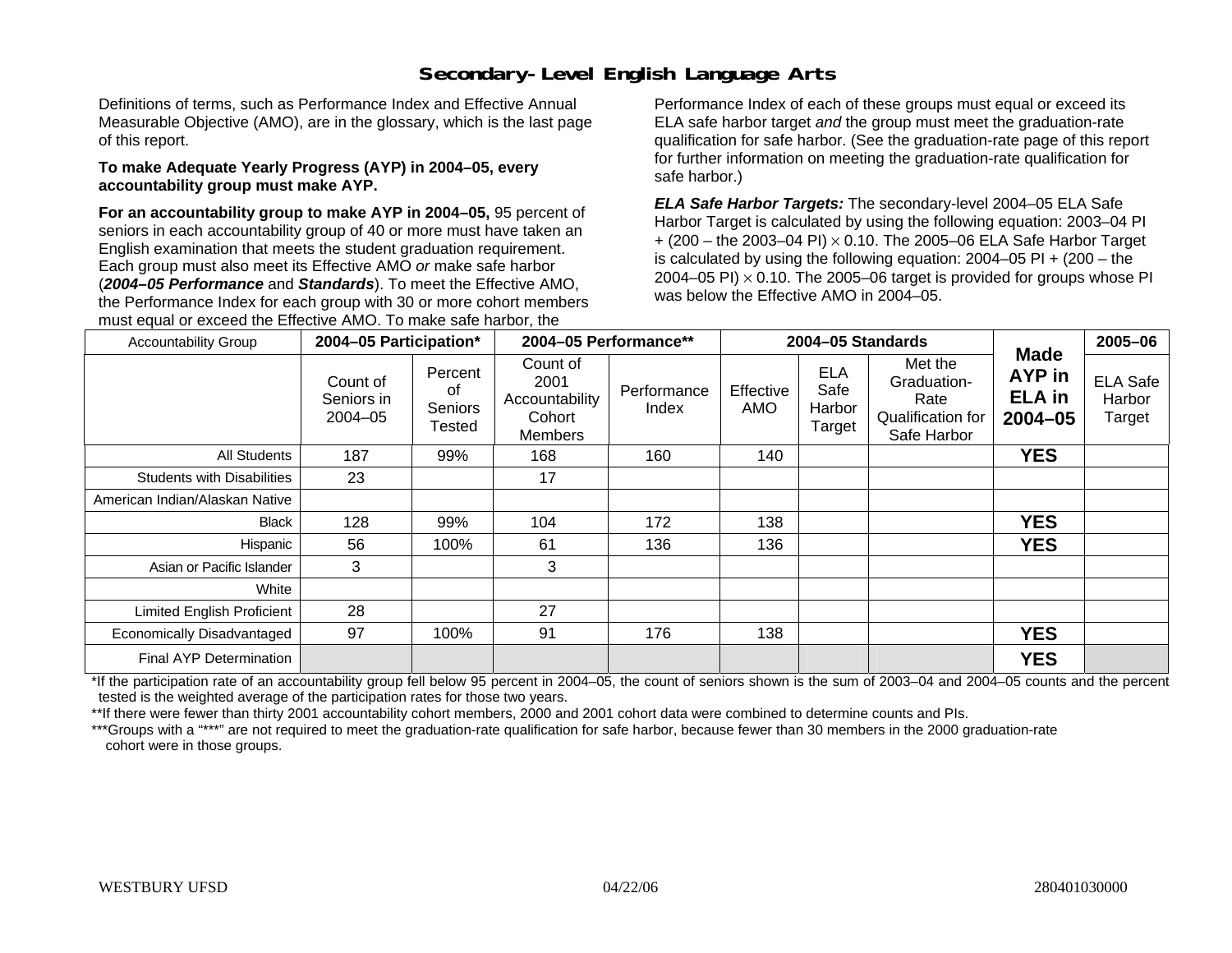## **Secondary-Level English Language Arts**

Definitions of terms, such as Performance Index and Effective Annual Measurable Objective (AMO), are in the glossary, which is the last page of this report.

#### **To make Adequate Yearly Progress (AYP) in 2004–05, every accountability group must make AYP.**

**For an accountability group to make AYP in 2004–05,** 95 percent of seniors in each accountability group of 40 or more must have taken an English examination that meets the student graduation requirement. Each group must also meet its Effective AMO *or* make safe harbor (*2004–05 Performance* and *Standards*). To meet the Effective AMO, the Performance Index for each group with 30 or more cohort members must equal or exceed the Effective AMO. To make safe harbor, the

Performance Index of each of these groups must equal or exceed its ELA safe harbor target *and* the group must meet the graduation-rate qualification for safe harbor. (See the graduation-rate page of this report for further information on meeting the graduation-rate qualification for safe harbor.)

*ELA Safe Harbor Targets:* The secondary-level 2004–05 ELA Safe Harbor Target is calculated by using the following equation: 2003–04 PI + (200 – the 2003–04 PI) <sup>×</sup> 0.10. The 2005–06 ELA Safe Harbor Target is calculated by using the following equation:  $2004-05$  PI  $+$  (200 – the 2004–05 PI)  $\times$  0.10. The 2005–06 target is provided for groups whose PI was below the Effective AMO in 2004–05.

| <b>Accountability Group</b>       | 2004-05 Participation*            |                                    | 2004-05 Performance**                                   |                      |                  | 2004-05 Standards                      |                                                                    |                                                          | 2005-06                             |
|-----------------------------------|-----------------------------------|------------------------------------|---------------------------------------------------------|----------------------|------------------|----------------------------------------|--------------------------------------------------------------------|----------------------------------------------------------|-------------------------------------|
|                                   | Count of<br>Seniors in<br>2004-05 | Percent<br>0f<br>Seniors<br>Tested | Count of<br>2001<br>Accountability<br>Cohort<br>Members | Performance<br>Index | Effective<br>AMO | <b>ELA</b><br>Safe<br>Harbor<br>Target | Met the<br>Graduation-<br>Rate<br>Qualification for<br>Safe Harbor | <b>Made</b><br><b>AYP</b> in<br><b>ELA</b> in<br>2004-05 | <b>ELA Safe</b><br>Harbor<br>Target |
| All Students                      | 187                               | 99%                                | 168                                                     | 160                  | 140              |                                        |                                                                    | <b>YES</b>                                               |                                     |
| <b>Students with Disabilities</b> | 23                                |                                    | 17                                                      |                      |                  |                                        |                                                                    |                                                          |                                     |
| American Indian/Alaskan Native    |                                   |                                    |                                                         |                      |                  |                                        |                                                                    |                                                          |                                     |
| Black                             | 128                               | 99%                                | 104                                                     | 172                  | 138              |                                        |                                                                    | <b>YES</b>                                               |                                     |
| Hispanic                          | 56                                | 100%                               | 61                                                      | 136                  | 136              |                                        |                                                                    | <b>YES</b>                                               |                                     |
| Asian or Pacific Islander         | 3                                 |                                    | 3                                                       |                      |                  |                                        |                                                                    |                                                          |                                     |
| White                             |                                   |                                    |                                                         |                      |                  |                                        |                                                                    |                                                          |                                     |
| Limited English Proficient        | 28                                |                                    | 27                                                      |                      |                  |                                        |                                                                    |                                                          |                                     |
| Economically Disadvantaged        | 97                                | 100%                               | 91                                                      | 176                  | 138              |                                        |                                                                    | <b>YES</b>                                               |                                     |
| Final AYP Determination           |                                   |                                    |                                                         |                      |                  |                                        |                                                                    | <b>YES</b>                                               |                                     |

\*If the participation rate of an accountability group fell below 95 percent in 2004–05, the count of seniors shown is the sum of 2003–04 and 2004–05 counts and the percent tested is the weighted average of the participation rates for those two years.

\*\*If there were fewer than thirty 2001 accountability cohort members, 2000 and 2001 cohort data were combined to determine counts and PIs.

\*\*\*Groups with a "\*\*\*" are not required to meet the graduation-rate qualification for safe harbor, because fewer than 30 members in the 2000 graduation-rate cohort were in those groups.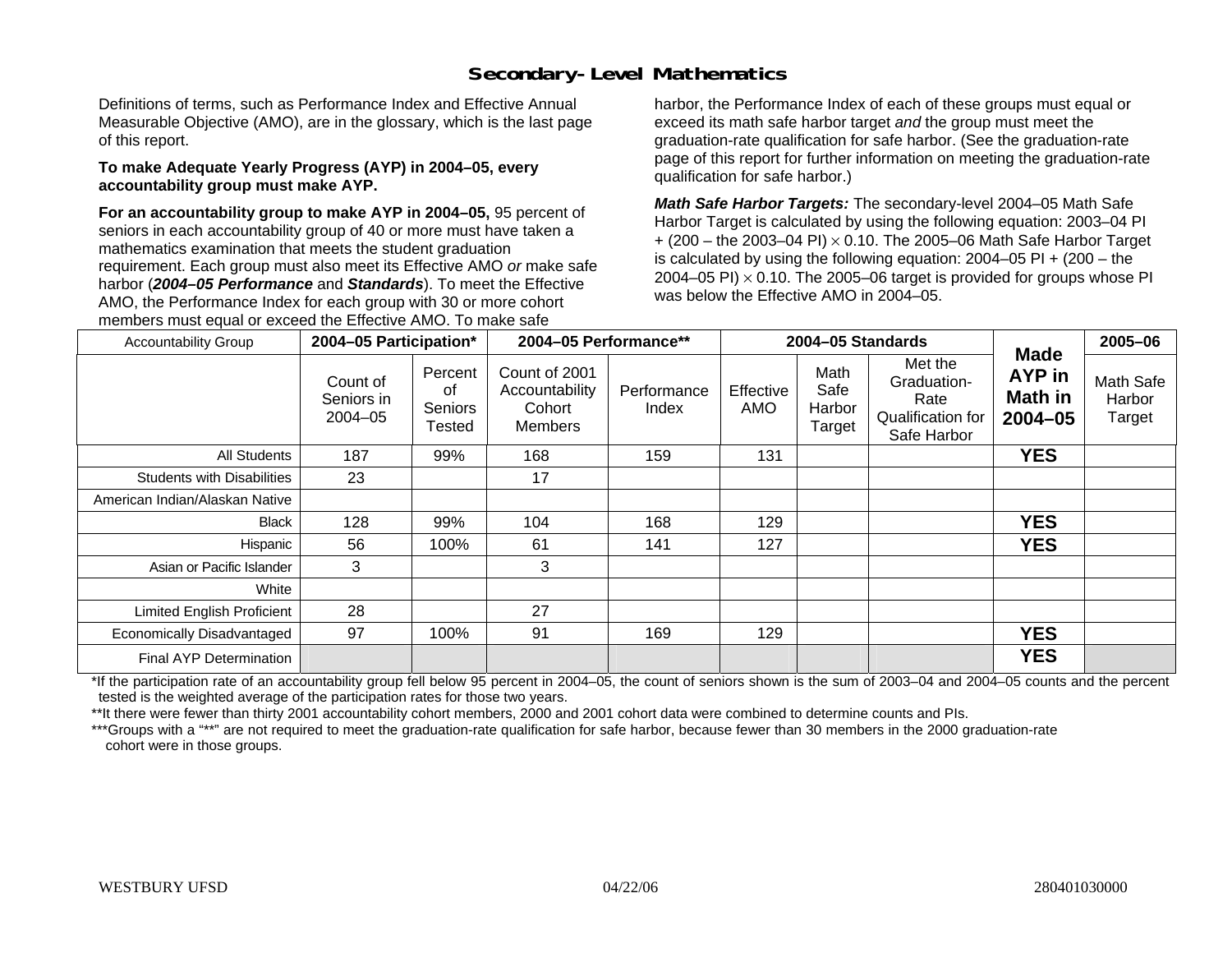## **Secondary-Level Mathematics**

Definitions of terms, such as Performance Index and Effective Annual Measurable Objective (AMO), are in the glossary, which is the last page of this report.

#### **To make Adequate Yearly Progress (AYP) in 2004–05, every accountability group must make AYP.**

**For an accountability group to make AYP in 2004–05,** 95 percent of seniors in each accountability group of 40 or more must have taken a mathematics examination that meets the student graduation requirement. Each group must also meet its Effective AMO *or* make safe harbor (*2004–05 Performance* and *Standards*). To meet the Effective AMO, the Performance Index for each group with 30 or more cohort members must equal or exceed the Effective AMO. To make safe

harbor, the Performance Index of each of these groups must equal or exceed its math safe harbor target *and* the group must meet the graduation-rate qualification for safe harbor. (See the graduation-rate page of this report for further information on meeting the graduation-rate qualification for safe harbor.)

*Math Safe Harbor Targets:* The secondary-level 2004–05 Math Safe Harbor Target is calculated by using the following equation: 2003–04 PI + (200 – the 2003–04 PI) <sup>×</sup> 0.10. The 2005–06 Math Safe Harbor Target is calculated by using the following equation: 2004–05 PI + (200 – the 2004–05 PI)  $\times$  0.10. The 2005–06 target is provided for groups whose PI was below the Effective AMO in 2004–05.

| <b>Accountability Group</b>       | 2004-05 Participation*                |                                    | 2004-05 Performance**                                       |                      |                  | 2004-05 Standards                |                                                                    |                                                 | 2005-06                       |
|-----------------------------------|---------------------------------------|------------------------------------|-------------------------------------------------------------|----------------------|------------------|----------------------------------|--------------------------------------------------------------------|-------------------------------------------------|-------------------------------|
|                                   | Count of<br>Seniors in<br>$2004 - 05$ | Percent<br>οf<br>Seniors<br>Tested | Count of 2001<br>Accountability<br>Cohort<br><b>Members</b> | Performance<br>Index | Effective<br>AMO | Math<br>Safe<br>Harbor<br>Target | Met the<br>Graduation-<br>Rate<br>Qualification for<br>Safe Harbor | <b>Made</b><br>AYP in<br>Math in<br>$2004 - 05$ | Math Safe<br>Harbor<br>Target |
| All Students                      | 187                                   | 99%                                | 168                                                         | 159                  | 131              |                                  |                                                                    | <b>YES</b>                                      |                               |
| <b>Students with Disabilities</b> | 23                                    |                                    | 17                                                          |                      |                  |                                  |                                                                    |                                                 |                               |
| American Indian/Alaskan Native    |                                       |                                    |                                                             |                      |                  |                                  |                                                                    |                                                 |                               |
| Black                             | 128                                   | 99%                                | 104                                                         | 168                  | 129              |                                  |                                                                    | <b>YES</b>                                      |                               |
| Hispanic                          | 56                                    | 100%                               | 61                                                          | 141                  | 127              |                                  |                                                                    | <b>YES</b>                                      |                               |
| Asian or Pacific Islander         | 3                                     |                                    | 3                                                           |                      |                  |                                  |                                                                    |                                                 |                               |
| White                             |                                       |                                    |                                                             |                      |                  |                                  |                                                                    |                                                 |                               |
| <b>Limited English Proficient</b> | 28                                    |                                    | 27                                                          |                      |                  |                                  |                                                                    |                                                 |                               |
| Economically Disadvantaged        | 97                                    | 100%                               | 91                                                          | 169                  | 129              |                                  |                                                                    | <b>YES</b>                                      |                               |
| <b>Final AYP Determination</b>    |                                       |                                    |                                                             |                      |                  |                                  |                                                                    | <b>YES</b>                                      |                               |

\*If the participation rate of an accountability group fell below 95 percent in 2004–05, the count of seniors shown is the sum of 2003–04 and 2004–05 counts and the percent tested is the weighted average of the participation rates for those two years.

\*\*It there were fewer than thirty 2001 accountability cohort members, 2000 and 2001 cohort data were combined to determine counts and PIs.

\*\*\*Groups with a "\*\*" are not required to meet the graduation-rate qualification for safe harbor, because fewer than 30 members in the 2000 graduation-rate cohort were in those groups.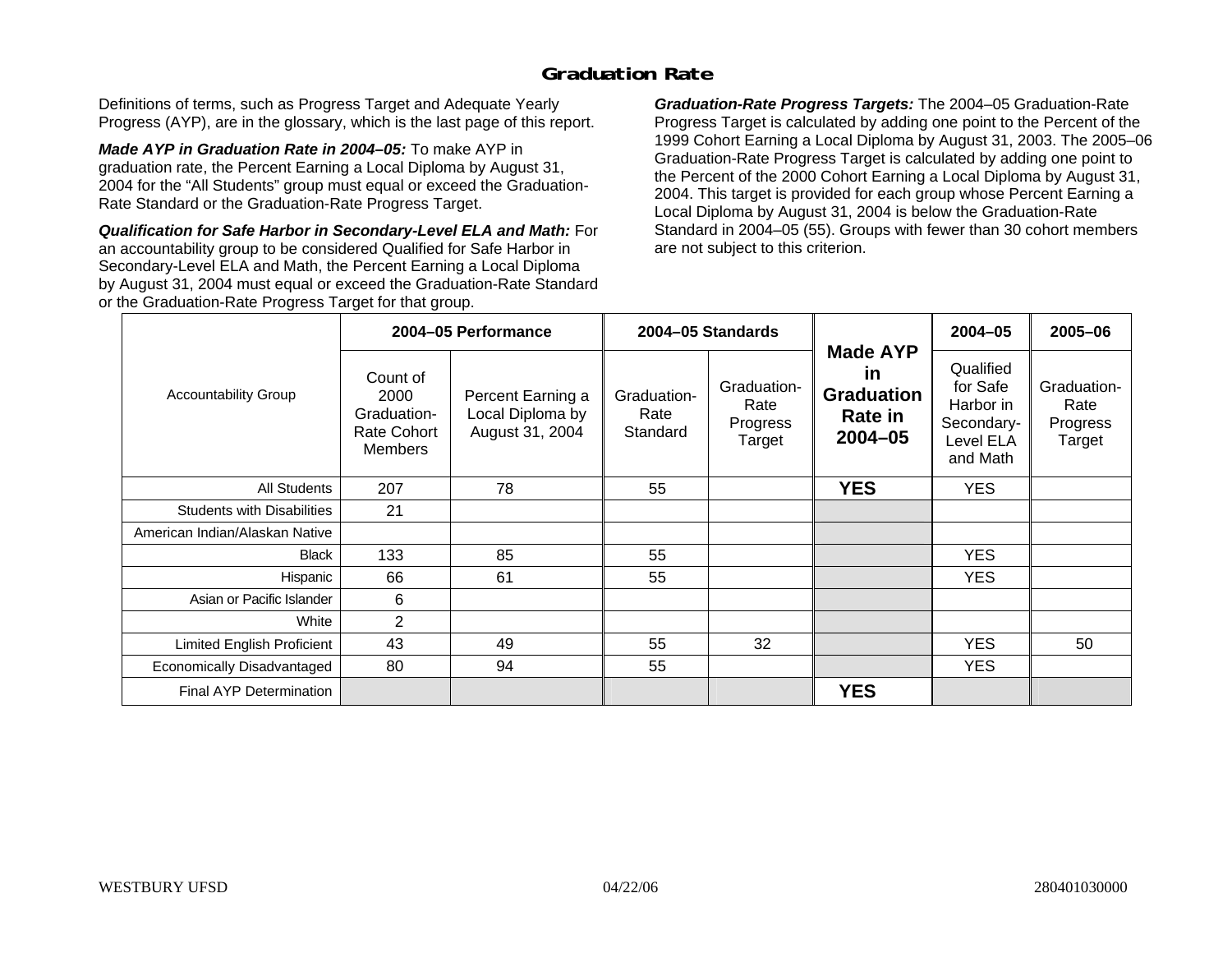### **Graduation Rate**

Definitions of terms, such as Progress Target and Adequate Yearly Progress (AYP), are in the glossary, which is the last page of this report.

*Made AYP in Graduation Rate in 2004–05:* To make AYP in graduation rate, the Percent Earning a Local Diploma by August 31, 2004 for the "All Students" group must equal or exceed the Graduation-Rate Standard or the Graduation-Rate Progress Target.

*Qualification for Safe Harbor in Secondary-Level ELA and Math:* For an accountability group to be considered Qualified for Safe Harbor in Secondary-Level ELA and Math, the Percent Earning a Local Diploma by August 31, 2004 must equal or exceed the Graduation-Rate Standard or the Graduation-Rate Progress Target for that group.

*Graduation-Rate Progress Targets:* The 2004–05 Graduation-Rate Progress Target is calculated by adding one point to the Percent of the 1999 Cohort Earning a Local Diploma by August 31, 2003. The 2005–06 Graduation-Rate Progress Target is calculated by adding one point to the Percent of the 2000 Cohort Earning a Local Diploma by August 31, 2004. This target is provided for each group whose Percent Earning a Local Diploma by August 31, 2004 is below the Graduation-Rate Standard in 2004–05 (55). Groups with fewer than 30 cohort members are not subject to this criterion.

|                                   |                                                                  | 2004-05 Performance                                      |                                 | 2004-05 Standards                         |                                                                             | $2004 - 05$                                                               | 2005-06                                   |
|-----------------------------------|------------------------------------------------------------------|----------------------------------------------------------|---------------------------------|-------------------------------------------|-----------------------------------------------------------------------------|---------------------------------------------------------------------------|-------------------------------------------|
| <b>Accountability Group</b>       | Count of<br>2000<br>Graduation-<br>Rate Cohort<br><b>Members</b> | Percent Earning a<br>Local Diploma by<br>August 31, 2004 | Graduation-<br>Rate<br>Standard | Graduation-<br>Rate<br>Progress<br>Target | <b>Made AYP</b><br><u>in</u><br><b>Graduation</b><br>Rate in<br>$2004 - 05$ | Qualified<br>for Safe<br>Harbor in<br>Secondary-<br>Level ELA<br>and Math | Graduation-<br>Rate<br>Progress<br>Target |
| All Students                      | 207                                                              | 78                                                       | 55                              |                                           | <b>YES</b>                                                                  | <b>YES</b>                                                                |                                           |
| <b>Students with Disabilities</b> | 21                                                               |                                                          |                                 |                                           |                                                                             |                                                                           |                                           |
| American Indian/Alaskan Native    |                                                                  |                                                          |                                 |                                           |                                                                             |                                                                           |                                           |
| <b>Black</b>                      | 133                                                              | 85                                                       | 55                              |                                           |                                                                             | <b>YES</b>                                                                |                                           |
| Hispanic                          | 66                                                               | 61                                                       | 55                              |                                           |                                                                             | YES.                                                                      |                                           |
| Asian or Pacific Islander         | 6                                                                |                                                          |                                 |                                           |                                                                             |                                                                           |                                           |
| White                             | $\overline{2}$                                                   |                                                          |                                 |                                           |                                                                             |                                                                           |                                           |
| Limited English Proficient        | 43                                                               | 49                                                       | 55                              | 32                                        |                                                                             | <b>YES</b>                                                                | 50                                        |
| Economically Disadvantaged        | 80                                                               | 94                                                       | 55                              |                                           |                                                                             | <b>YES</b>                                                                |                                           |
| <b>Final AYP Determination</b>    |                                                                  |                                                          |                                 |                                           | <b>YES</b>                                                                  |                                                                           |                                           |